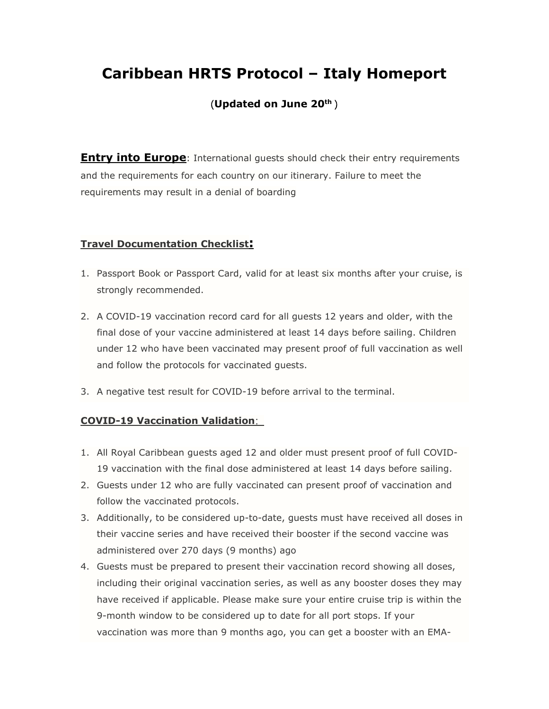# **Caribbean HRTS Protocol – Italy Homeport**

## (**Updated on June 20th** )

**Entry into Europe**: International guests should check their entry requirements and the requirements for each country on our itinerary. Failure to meet the requirements may result in a denial of boarding

## **Travel Documentation Checklist:**

- 1. Passport Book or Passport Card, valid for at least six months after your cruise, is strongly recommended.
- 2. A COVID-19 vaccination record card for all guests 12 years and older, with the final dose of your vaccine administered at least 14 days before sailing. Children under 12 who have been vaccinated may present proof of full vaccination as well and follow the protocols for vaccinated guests.
- 3. A negative test result for COVID-19 before arrival to the terminal.

## **COVID-19 Vaccination Validation**:

- 1. All Royal Caribbean guests aged 12 and older must present proof of full COVID-19 vaccination with the final dose administered at least 14 days before sailing.
- 2. Guests under 12 who are fully vaccinated can present proof of vaccination and follow the vaccinated protocols.
- 3. Additionally, to be considered up-to-date, guests must have received all doses in their vaccine series and have received their booster if the second vaccine was administered over 270 days (9 months) ago
- 4. Guests must be prepared to present their vaccination record showing all doses, including their original vaccination series, as well as any booster doses they may have received if applicable. Please make sure your entire cruise trip is within the 9-month window to be considered up to date for all port stops. If your vaccination was more than 9 months ago, you can get a booster with an EMA-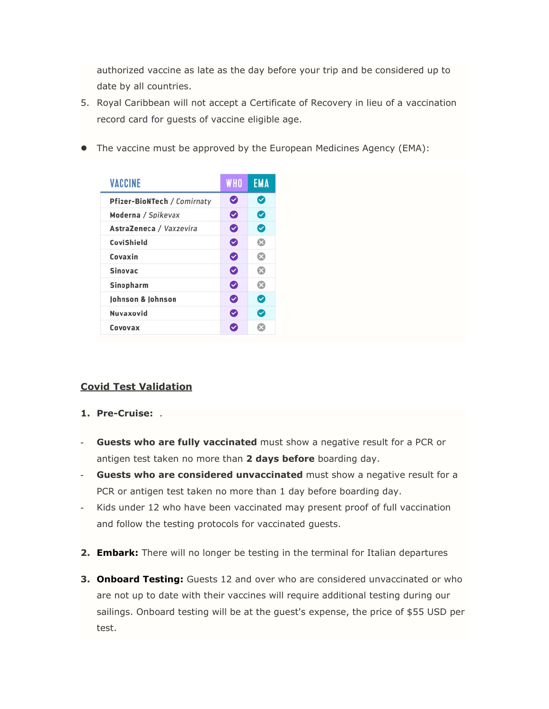authorized vaccine as late as the day before your trip and be considered up to date by all countries.

- 5. Royal Caribbean will not accept a Certificate of Recovery in lieu of a vaccination record card for guests of vaccine eligible age.
- The vaccine must be approved by the European Medicines Agency (EMA):

| <b>VACCINE</b>              | <b>WHO</b> | <b>EMA</b>     |
|-----------------------------|------------|----------------|
| Pfizer-BioNTech / Comirnaty | Ø          | ◙              |
| Moderna / Spikevax          | ◙          | ◙              |
| AstraZeneca / Vaxzevira     | ◙          | ◙              |
| CoviShield                  | ◙          | $\circledcirc$ |
| Covaxin                     | ◙          | Ø              |
| <b>Sinovac</b>              | ◙          | Ø              |
| Sinopharm                   | ◙          | $\odot$        |
| Johnson & Johnson           | ◙          | ◙              |
| Nuvaxovid                   | Ø          | ◙              |
| Covovax                     | Ø          | ×              |

## **Covid Test Validation**

- **1. Pre-Cruise:** .
- Guests who are fully vaccinated must show a negative result for a PCR or antigen test taken no more than **2 days before** boarding day.
- **Guests who are considered unvaccinated** must show a negative result for a PCR or antigen test taken no more than 1 day before boarding day.
- Kids under 12 who have been vaccinated may present proof of full vaccination and follow the testing protocols for vaccinated guests.
- **2. Embark:** There will no longer be testing in the terminal for Italian departures
- **3. Onboard Testing:** Guests 12 and over who are considered unvaccinated or who are not up to date with their vaccines will require additional testing during our sailings. Onboard testing will be at the guest's expense, the price of \$55 USD per test.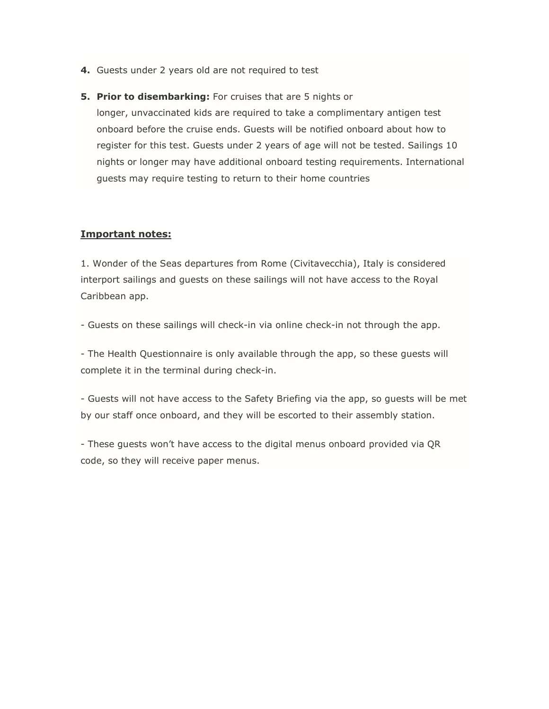- **4.** Guests under 2 years old are not required to test
- **5. Prior to disembarking:** For cruises that are 5 nights or longer, unvaccinated kids are required to take a complimentary antigen test onboard before the cruise ends. Guests will be notified onboard about how to register for this test. Guests under 2 years of age will not be tested. Sailings 10 nights or longer may have additional onboard testing requirements. International guests may require testing to return to their home countries

#### **Important notes:**

1. Wonder of the Seas departures from Rome (Civitavecchia), Italy is considered interport sailings and guests on these sailings will not have access to the Royal Caribbean app.

- Guests on these sailings will check-in via online check-in not through the app.

- The Health Questionnaire is only available through the app, so these guests will complete it in the terminal during check-in.

- Guests will not have access to the Safety Briefing via the app, so guests will be met by our staff once onboard, and they will be escorted to their assembly station.

- These guests won't have access to the digital menus onboard provided via QR code, so they will receive paper menus.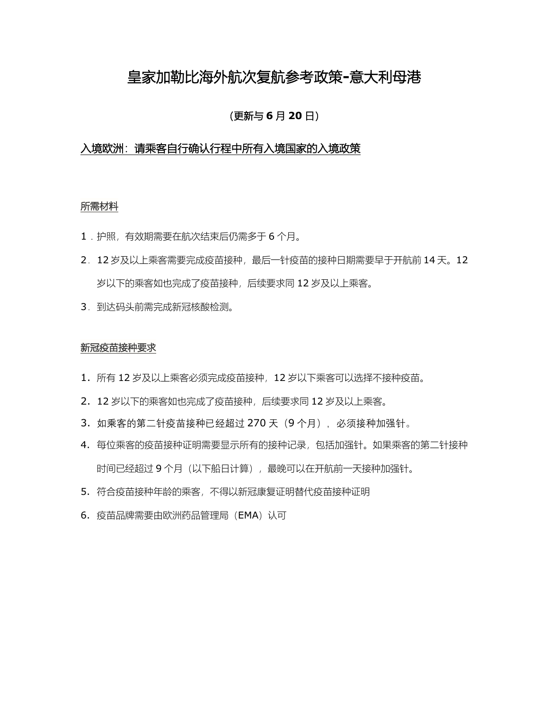## 皇家加勒比海外航次复航参考政策**-**意大利母港

### (更新与 **6** 月 **20** 日)

### 入境欧洲:请乘客自行确认行程中所有入境国家的入境政策

#### 所需材料

- 1.护照,有效期需要在航次结束后仍需多于 6 个月。
- 2. 12 岁及以上乘客需要完成疫苗接种,最后一针疫苗的接种日期需要早于开航前 14 天。12 岁以下的乘客如也完成了疫苗接种,后续要求同 12 岁及以上乘客。
- 3. 到达码头前需完成新冠核酸检测。

#### 新冠疫苗接种要求

- 1. 所有 12 岁及以上乘客必须完成疫苗接种,12 岁以下乘客可以选择不接种疫苗。
- 2. 12 岁以下的乘客如也完成了疫苗接种,后续要求同 12 岁及以上乘客。
- 3. 如乘客的第二针疫苗接种已经超过 270 天 (9 个月), 必须接种加强针。
- 4. 每位乘客的疫苗接种证明需要显示所有的接种记录,包括加强针。如果乘客的第二针接种 时间已经超过9个月(以下船日计算),最晚可以在开航前一天接种加强针。
- 5. 符合疫苗接种年龄的乘客,不得以新冠康复证明替代疫苗接种证明
- 6. 疫苗品牌需要由欧洲药品管理局(EMA)认可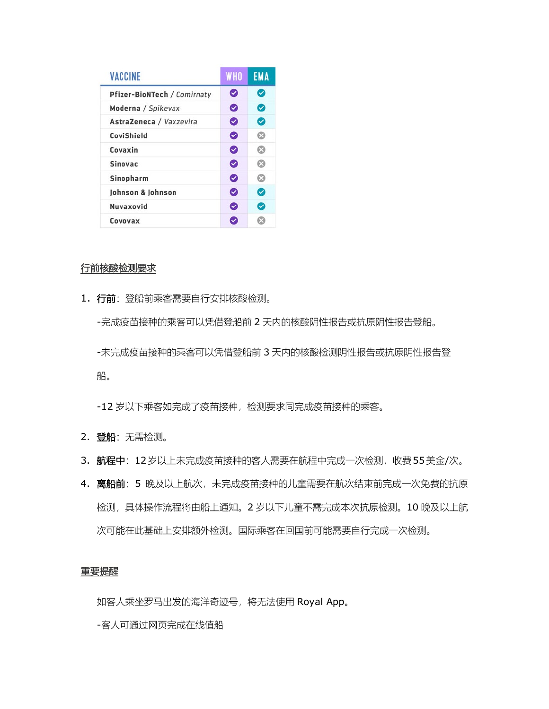| <b>VACCINE</b>              | <b>WHO</b> | <b>EMA</b> |
|-----------------------------|------------|------------|
| Pfizer-BioNTech / Comirnaty | Ø          | Ø          |
| Moderna / Spikevax          | ◙          | Ø          |
| AstraZeneca / Vaxzevira     | Ø          | ◙          |
| CoviShield                  | Ø          | ఴ          |
| Covaxin                     | Ø          | Q          |
| <b>Sinovac</b>              | ◙          | ශ          |
| Sinopharm                   | Ø          | ඹ          |
| Johnson & Johnson           | Ø          | ◙          |
| Nuvaxovid                   | Ø          | ల          |
| Covovax                     |            |            |

#### 行前核酸检测要求

1. 行前: 登船前乘客需要自行安排核酸检测。 -完成疫苗接种的乘客可以凭借登船前 2 天内的核酸阴性报告或抗原阴性报告登船。 -未完成疫苗接种的乘客可以凭借登船前 3 天内的核酸检测阴性报告或抗原阴性报告登 船。

-12 岁以下乘客如完成了疫苗接种,检测要求同完成疫苗接种的乘客。

- 2. 登船: 无需检测。
- 3. 航程中: 12岁以上未完成疫苗接种的客人需要在航程中完成一次检测, 收费55美金/次。
- 4. 离船前: 5 晚及以上航次,未完成疫苗接种的儿童需要在航次结束前完成一次免费的抗原 检测,具体操作流程将由船上通知。2 岁以下儿童不需完成本次抗原检测。10 晚及以上航 次可能在此基础上安排额外检测。国际乘客在回国前可能需要自行完成一次检测。

#### 重要提醒

如客人乘坐罗马出发的海洋奇迹号,将无法使用 Royal App。

-客人可通过网页完成在线值船